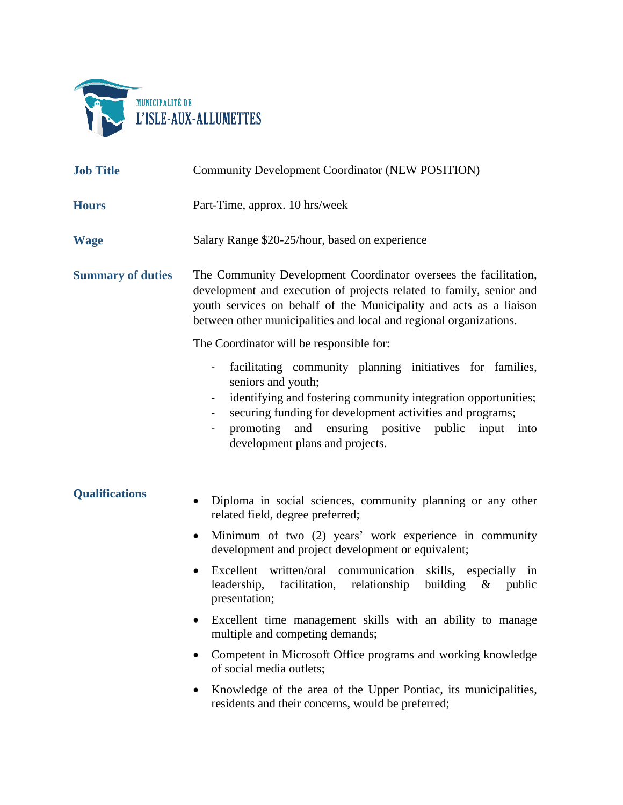

| <b>Job Title</b>         | <b>Community Development Coordinator (NEW POSITION)</b>                                                                                                                                                                                                                                                                                 |  |  |  |  |
|--------------------------|-----------------------------------------------------------------------------------------------------------------------------------------------------------------------------------------------------------------------------------------------------------------------------------------------------------------------------------------|--|--|--|--|
| <b>Hours</b>             | Part-Time, approx. 10 hrs/week                                                                                                                                                                                                                                                                                                          |  |  |  |  |
| <b>Wage</b>              | Salary Range \$20-25/hour, based on experience                                                                                                                                                                                                                                                                                          |  |  |  |  |
| <b>Summary of duties</b> | The Community Development Coordinator oversees the facilitation,<br>development and execution of projects related to family, senior and<br>youth services on behalf of the Municipality and acts as a liaison<br>between other municipalities and local and regional organizations.<br>The Coordinator will be responsible for:         |  |  |  |  |
|                          | facilitating community planning initiatives for families,<br>۰<br>seniors and youth;<br>identifying and fostering community integration opportunities;<br>securing funding for development activities and programs;<br>$\overline{\phantom{0}}$<br>promoting and ensuring positive public input into<br>development plans and projects. |  |  |  |  |
| <b>Qualifications</b>    | Diploma in social sciences, community planning or any other<br>$\bullet$<br>related field, degree preferred;                                                                                                                                                                                                                            |  |  |  |  |
|                          | Minimum of two (2) years' work experience in community<br>$\bullet$<br>development and project development or equivalent;                                                                                                                                                                                                               |  |  |  |  |
|                          | Excellent written/oral communication skills, especially in<br>leadership, facilitation, relationship<br>building $\&$ public<br>presentation;                                                                                                                                                                                           |  |  |  |  |
|                          | Excellent time management skills with an ability to manage<br>multiple and competing demands;                                                                                                                                                                                                                                           |  |  |  |  |
|                          | Competent in Microsoft Office programs and working knowledge<br>of social media outlets;                                                                                                                                                                                                                                                |  |  |  |  |
|                          | Knowledge of the area of the Upper Pontiac, its municipalities,<br>residents and their concerns, would be preferred;                                                                                                                                                                                                                    |  |  |  |  |